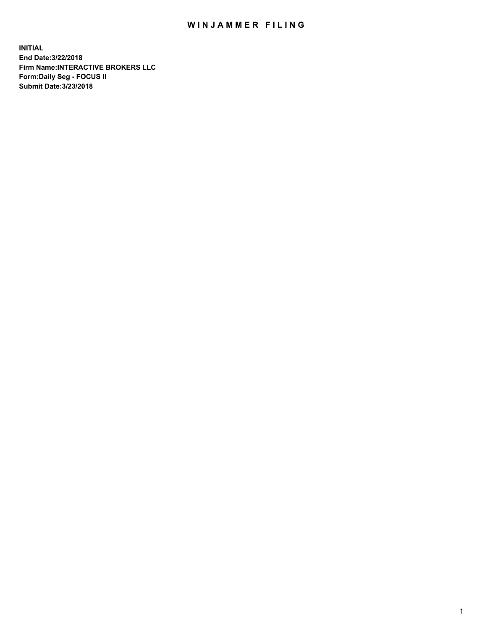## WIN JAMMER FILING

**INITIAL End Date:3/22/2018 Firm Name:INTERACTIVE BROKERS LLC Form:Daily Seg - FOCUS II Submit Date:3/23/2018**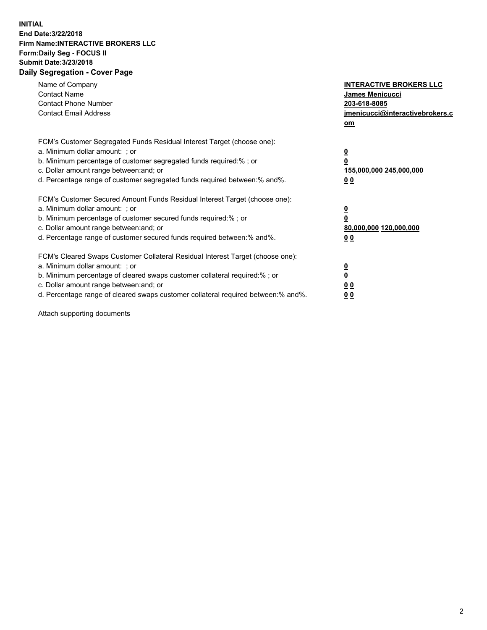## **INITIAL End Date:3/22/2018 Firm Name:INTERACTIVE BROKERS LLC Form:Daily Seg - FOCUS II Submit Date:3/23/2018 Daily Segregation - Cover Page**

| Name of Company<br><b>Contact Name</b><br><b>Contact Phone Number</b><br><b>Contact Email Address</b>                                                                                                                                                                                                                          | <b>INTERACTIVE BROKERS LLC</b><br>James Menicucci<br>203-618-8085<br>jmenicucci@interactivebrokers.c<br>om |
|--------------------------------------------------------------------------------------------------------------------------------------------------------------------------------------------------------------------------------------------------------------------------------------------------------------------------------|------------------------------------------------------------------------------------------------------------|
| FCM's Customer Segregated Funds Residual Interest Target (choose one):<br>a. Minimum dollar amount: ; or<br>b. Minimum percentage of customer segregated funds required:%; or<br>c. Dollar amount range between: and; or<br>d. Percentage range of customer segregated funds required between:% and%.                          | $\overline{\mathbf{0}}$<br>0<br>155,000,000 245,000,000<br>0 <sub>0</sub>                                  |
| FCM's Customer Secured Amount Funds Residual Interest Target (choose one):<br>a. Minimum dollar amount: ; or<br>b. Minimum percentage of customer secured funds required:%; or<br>c. Dollar amount range between: and; or<br>d. Percentage range of customer secured funds required between:% and%.                            | $\overline{\mathbf{0}}$<br>$\overline{\mathbf{0}}$<br>80,000,000 120,000,000<br>00                         |
| FCM's Cleared Swaps Customer Collateral Residual Interest Target (choose one):<br>a. Minimum dollar amount: ; or<br>b. Minimum percentage of cleared swaps customer collateral required:% ; or<br>c. Dollar amount range between: and; or<br>d. Percentage range of cleared swaps customer collateral required between:% and%. | $\overline{\mathbf{0}}$<br>$\overline{\mathbf{0}}$<br>0 <sub>0</sub><br><u>00</u>                          |

Attach supporting documents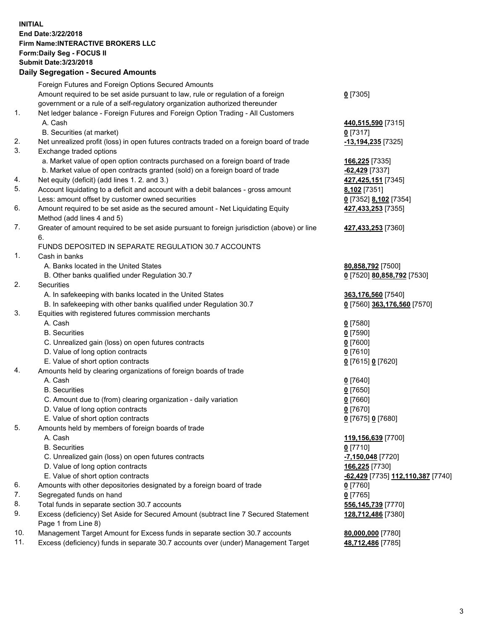## **INITIAL End Date:3/22/2018 Firm Name:INTERACTIVE BROKERS LLC Form:Daily Seg - FOCUS II Submit Date:3/23/2018 Daily Segregation - Secured Amounts**

|                                                                         | Daily Jegregation - Jeculed Aniounts                                                        |                                   |
|-------------------------------------------------------------------------|---------------------------------------------------------------------------------------------|-----------------------------------|
|                                                                         | Foreign Futures and Foreign Options Secured Amounts                                         |                                   |
|                                                                         | Amount required to be set aside pursuant to law, rule or regulation of a foreign            | $0$ [7305]                        |
|                                                                         | government or a rule of a self-regulatory organization authorized thereunder                |                                   |
| 1.                                                                      | Net ledger balance - Foreign Futures and Foreign Option Trading - All Customers             |                                   |
|                                                                         | A. Cash                                                                                     | 440,515,590 [7315]                |
|                                                                         | B. Securities (at market)                                                                   | $0$ [7317]                        |
| 2.                                                                      | Net unrealized profit (loss) in open futures contracts traded on a foreign board of trade   | -13,194,235 [7325]                |
| 3.                                                                      | Exchange traded options                                                                     |                                   |
|                                                                         | a. Market value of open option contracts purchased on a foreign board of trade              | 166,225 [7335]                    |
|                                                                         | b. Market value of open contracts granted (sold) on a foreign board of trade                | $-62,429$ [7337]                  |
| 4.                                                                      | Net equity (deficit) (add lines 1.2. and 3.)                                                | 427,425,151 [7345]                |
| 5.                                                                      | Account liquidating to a deficit and account with a debit balances - gross amount           | 8,102 [7351]                      |
|                                                                         | Less: amount offset by customer owned securities                                            | 0 [7352] 8,102 [7354]             |
| 6.                                                                      | Amount required to be set aside as the secured amount - Net Liquidating Equity              | 427,433,253 [7355]                |
|                                                                         | Method (add lines 4 and 5)                                                                  |                                   |
| 7.                                                                      | Greater of amount required to be set aside pursuant to foreign jurisdiction (above) or line | 427,433,253 [7360]                |
|                                                                         | 6.                                                                                          |                                   |
|                                                                         | FUNDS DEPOSITED IN SEPARATE REGULATION 30.7 ACCOUNTS                                        |                                   |
| 1 <sub>1</sub>                                                          | Cash in banks                                                                               |                                   |
|                                                                         | A. Banks located in the United States                                                       | 80,858,792 [7500]                 |
|                                                                         | B. Other banks qualified under Regulation 30.7                                              | 0 [7520] 80,858,792 [7530]        |
| 2.                                                                      | Securities                                                                                  |                                   |
|                                                                         | A. In safekeeping with banks located in the United States                                   | 363,176,560 [7540]                |
|                                                                         | B. In safekeeping with other banks qualified under Regulation 30.7                          | 0 [7560] 363,176,560 [7570]       |
| 3.                                                                      | Equities with registered futures commission merchants                                       |                                   |
|                                                                         | A. Cash                                                                                     | $0$ [7580]                        |
|                                                                         | <b>B.</b> Securities                                                                        | $0$ [7590]                        |
|                                                                         | C. Unrealized gain (loss) on open futures contracts                                         | $0$ [7600]                        |
|                                                                         | D. Value of long option contracts                                                           | $0$ [7610]                        |
|                                                                         | E. Value of short option contracts                                                          | 0 [7615] 0 [7620]                 |
| 4.<br>Amounts held by clearing organizations of foreign boards of trade |                                                                                             |                                   |
|                                                                         | A. Cash                                                                                     | $0$ [7640]                        |
|                                                                         | <b>B.</b> Securities                                                                        | $0$ [7650]                        |
|                                                                         | C. Amount due to (from) clearing organization - daily variation                             | $0$ [7660]                        |
|                                                                         | D. Value of long option contracts                                                           | $0$ [7670]                        |
|                                                                         | E. Value of short option contracts                                                          | 0 [7675] 0 [7680]                 |
| 5.                                                                      | Amounts held by members of foreign boards of trade                                          |                                   |
|                                                                         | A. Cash                                                                                     | 119,156,639 [7700]                |
|                                                                         | <b>B.</b> Securities                                                                        | $0$ [7710]                        |
|                                                                         | C. Unrealized gain (loss) on open futures contracts                                         | -7,150,048 [7720]                 |
|                                                                         | D. Value of long option contracts                                                           | 166,225 [7730]                    |
|                                                                         | E. Value of short option contracts                                                          | -62,429 [7735] 112,110,387 [7740] |
| 6.                                                                      | Amounts with other depositories designated by a foreign board of trade                      | $0$ [7760]                        |
| 7.                                                                      | Segregated funds on hand                                                                    | $0$ [7765]                        |
| 8.                                                                      | Total funds in separate section 30.7 accounts                                               | 556,145,739 [7770]                |
| 9.                                                                      | Excess (deficiency) Set Aside for Secured Amount (subtract line 7 Secured Statement         | 128,712,486 [7380]                |
|                                                                         | Page 1 from Line 8)                                                                         |                                   |
| 10.                                                                     | Management Target Amount for Excess funds in separate section 30.7 accounts                 | 80,000,000 [7780]                 |
| 11.                                                                     | Excess (deficiency) funds in separate 30.7 accounts over (under) Management Target          | 48,712,486 [7785]                 |
|                                                                         |                                                                                             |                                   |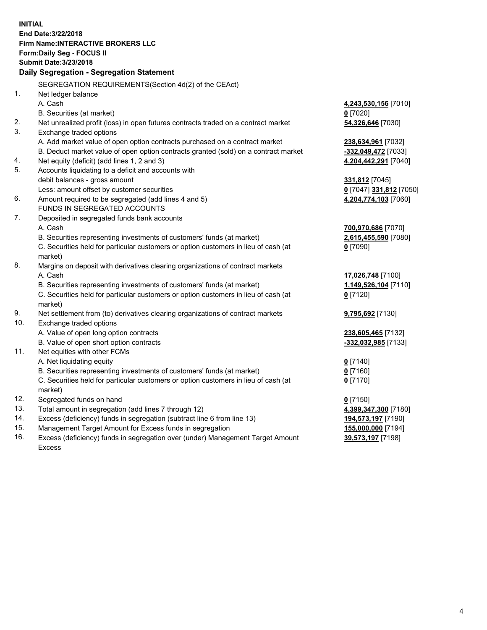**INITIAL End Date:3/22/2018 Firm Name:INTERACTIVE BROKERS LLC Form:Daily Seg - FOCUS II Submit Date:3/23/2018 Daily Segregation - Segregation Statement** SEGREGATION REQUIREMENTS(Section 4d(2) of the CEAct) 1. Net ledger balance A. Cash **4,243,530,156** [7010] B. Securities (at market) **0** [7020] 2. Net unrealized profit (loss) in open futures contracts traded on a contract market **54,326,646** [7030] 3. Exchange traded options A. Add market value of open option contracts purchased on a contract market **238,634,961** [7032] B. Deduct market value of open option contracts granted (sold) on a contract market **-332,049,472** [7033] 4. Net equity (deficit) (add lines 1, 2 and 3) **4,204,442,291** [7040] 5. Accounts liquidating to a deficit and accounts with debit balances - gross amount **331,812** [7045] Less: amount offset by customer securities **0** [7047] **331,812** [7050] 6. Amount required to be segregated (add lines 4 and 5) **4,204,774,103** [7060] FUNDS IN SEGREGATED ACCOUNTS 7. Deposited in segregated funds bank accounts A. Cash **700,970,686** [7070] B. Securities representing investments of customers' funds (at market) **2,615,455,590** [7080] C. Securities held for particular customers or option customers in lieu of cash (at market) **0** [7090] 8. Margins on deposit with derivatives clearing organizations of contract markets A. Cash **17,026,748** [7100] B. Securities representing investments of customers' funds (at market) **1,149,526,104** [7110] C. Securities held for particular customers or option customers in lieu of cash (at market) **0** [7120] 9. Net settlement from (to) derivatives clearing organizations of contract markets **9,795,692** [7130] 10. Exchange traded options A. Value of open long option contracts **238,605,465** [7132] B. Value of open short option contracts **-332,032,985** [7133] 11. Net equities with other FCMs A. Net liquidating equity **0** [7140] B. Securities representing investments of customers' funds (at market) **0** [7160] C. Securities held for particular customers or option customers in lieu of cash (at market) **0** [7170] 12. Segregated funds on hand **0** [7150] 13. Total amount in segregation (add lines 7 through 12) **4,399,347,300** [7180] 14. Excess (deficiency) funds in segregation (subtract line 6 from line 13) **194,573,197** [7190] 15. Management Target Amount for Excess funds in segregation **155,000,000** [7194]

16. Excess (deficiency) funds in segregation over (under) Management Target Amount Excess

**39,573,197** [7198]